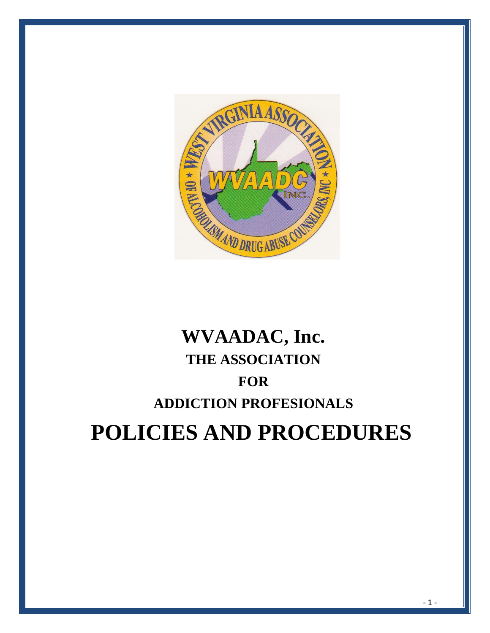

# **WVAADAC, Inc. THE ASSOCIATION FOR ADDICTION PROFESIONALS POLICIES AND PROCEDURES**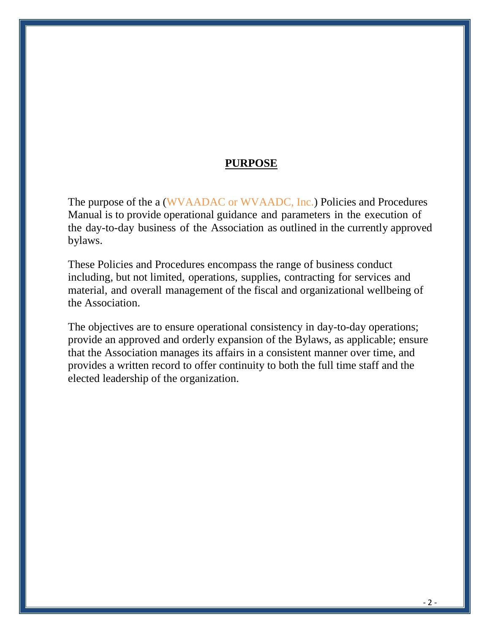## **PURPOSE**

The purpose of the a (WVAADAC or WVAADC, Inc.) Policies and Procedures Manual is to provide operational guidance and parameters in the execution of the day-to-day business of the Association as outlined in the currently approved bylaws.

These Policies and Procedures encompass the range of business conduct including, but not limited, operations, supplies, contracting for services and material, and overall management of the fiscal and organizational wellbeing of the Association.

The objectives are to ensure operational consistency in day-to-day operations; provide an approved and orderly expansion of the Bylaws, as applicable; ensure that the Association manages its affairs in a consistent manner over time, and provides a written record to offer continuity to both the full time staff and the elected leadership of the organization.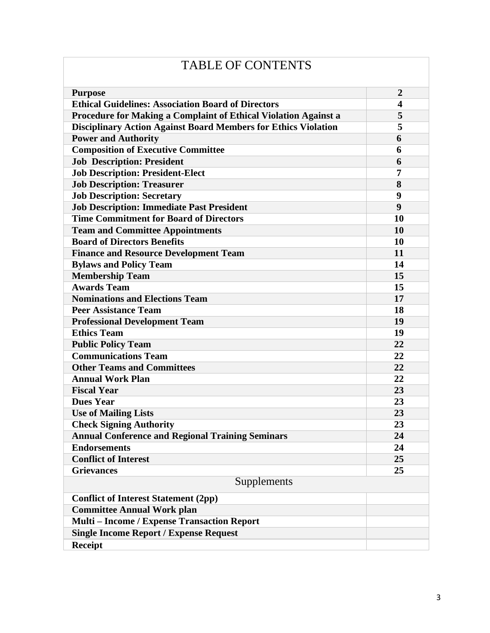| $\overline{2}$<br><b>Purpose</b><br><b>Ethical Guidelines: Association Board of Directors</b><br>$\overline{\mathbf{4}}$<br><b>Procedure for Making a Complaint of Ethical Violation Against a</b><br>5<br><b>Disciplinary Action Against Board Members for Ethics Violation</b><br>5<br><b>Power and Authority</b><br>6<br><b>Composition of Executive Committee</b><br>6<br><b>Job Description: President</b><br>6<br><b>Job Description: President-Elect</b><br>7<br><b>Job Description: Treasurer</b><br>8<br><b>Job Description: Secretary</b><br>9<br><b>Job Description: Immediate Past President</b><br>9<br><b>Time Commitment for Board of Directors</b><br>10<br><b>Team and Committee Appointments</b><br>10<br><b>Board of Directors Benefits</b><br><b>10</b><br><b>Finance and Resource Development Team</b><br>11<br><b>Bylaws and Policy Team</b><br>14<br><b>Membership Team</b><br>15<br><b>Awards Team</b><br>15<br><b>Nominations and Elections Team</b><br>17<br><b>Peer Assistance Team</b><br>18<br><b>Professional Development Team</b><br>19<br><b>Ethics Team</b><br>19<br><b>Public Policy Team</b><br>22<br><b>Communications Team</b><br>22<br><b>Other Teams and Committees</b><br>22<br><b>Annual Work Plan</b><br>22<br><b>Fiscal Year</b><br>23<br><b>Dues Year</b><br>23<br><b>Use of Mailing Lists</b><br>23<br><b>Check Signing Authority</b><br>23<br><b>Annual Conference and Regional Training Seminars</b><br>24<br><b>Endorsements</b><br>24<br><b>Conflict of Interest</b><br>25<br><b>Grievances</b><br>25<br>Supplements<br><b>Conflict of Interest Statement (2pp)</b><br><b>Committee Annual Work plan</b><br>Multi - Income / Expense Transaction Report<br><b>Single Income Report / Expense Request</b><br><b>Receipt</b> |  |  |  |  |  |
|-----------------------------------------------------------------------------------------------------------------------------------------------------------------------------------------------------------------------------------------------------------------------------------------------------------------------------------------------------------------------------------------------------------------------------------------------------------------------------------------------------------------------------------------------------------------------------------------------------------------------------------------------------------------------------------------------------------------------------------------------------------------------------------------------------------------------------------------------------------------------------------------------------------------------------------------------------------------------------------------------------------------------------------------------------------------------------------------------------------------------------------------------------------------------------------------------------------------------------------------------------------------------------------------------------------------------------------------------------------------------------------------------------------------------------------------------------------------------------------------------------------------------------------------------------------------------------------------------------------------------------------------------------------------------------------------------------------------------------------------------------------------------------|--|--|--|--|--|
|                                                                                                                                                                                                                                                                                                                                                                                                                                                                                                                                                                                                                                                                                                                                                                                                                                                                                                                                                                                                                                                                                                                                                                                                                                                                                                                                                                                                                                                                                                                                                                                                                                                                                                                                                                             |  |  |  |  |  |
|                                                                                                                                                                                                                                                                                                                                                                                                                                                                                                                                                                                                                                                                                                                                                                                                                                                                                                                                                                                                                                                                                                                                                                                                                                                                                                                                                                                                                                                                                                                                                                                                                                                                                                                                                                             |  |  |  |  |  |
|                                                                                                                                                                                                                                                                                                                                                                                                                                                                                                                                                                                                                                                                                                                                                                                                                                                                                                                                                                                                                                                                                                                                                                                                                                                                                                                                                                                                                                                                                                                                                                                                                                                                                                                                                                             |  |  |  |  |  |
|                                                                                                                                                                                                                                                                                                                                                                                                                                                                                                                                                                                                                                                                                                                                                                                                                                                                                                                                                                                                                                                                                                                                                                                                                                                                                                                                                                                                                                                                                                                                                                                                                                                                                                                                                                             |  |  |  |  |  |
|                                                                                                                                                                                                                                                                                                                                                                                                                                                                                                                                                                                                                                                                                                                                                                                                                                                                                                                                                                                                                                                                                                                                                                                                                                                                                                                                                                                                                                                                                                                                                                                                                                                                                                                                                                             |  |  |  |  |  |
|                                                                                                                                                                                                                                                                                                                                                                                                                                                                                                                                                                                                                                                                                                                                                                                                                                                                                                                                                                                                                                                                                                                                                                                                                                                                                                                                                                                                                                                                                                                                                                                                                                                                                                                                                                             |  |  |  |  |  |
|                                                                                                                                                                                                                                                                                                                                                                                                                                                                                                                                                                                                                                                                                                                                                                                                                                                                                                                                                                                                                                                                                                                                                                                                                                                                                                                                                                                                                                                                                                                                                                                                                                                                                                                                                                             |  |  |  |  |  |
|                                                                                                                                                                                                                                                                                                                                                                                                                                                                                                                                                                                                                                                                                                                                                                                                                                                                                                                                                                                                                                                                                                                                                                                                                                                                                                                                                                                                                                                                                                                                                                                                                                                                                                                                                                             |  |  |  |  |  |
|                                                                                                                                                                                                                                                                                                                                                                                                                                                                                                                                                                                                                                                                                                                                                                                                                                                                                                                                                                                                                                                                                                                                                                                                                                                                                                                                                                                                                                                                                                                                                                                                                                                                                                                                                                             |  |  |  |  |  |
|                                                                                                                                                                                                                                                                                                                                                                                                                                                                                                                                                                                                                                                                                                                                                                                                                                                                                                                                                                                                                                                                                                                                                                                                                                                                                                                                                                                                                                                                                                                                                                                                                                                                                                                                                                             |  |  |  |  |  |
|                                                                                                                                                                                                                                                                                                                                                                                                                                                                                                                                                                                                                                                                                                                                                                                                                                                                                                                                                                                                                                                                                                                                                                                                                                                                                                                                                                                                                                                                                                                                                                                                                                                                                                                                                                             |  |  |  |  |  |
|                                                                                                                                                                                                                                                                                                                                                                                                                                                                                                                                                                                                                                                                                                                                                                                                                                                                                                                                                                                                                                                                                                                                                                                                                                                                                                                                                                                                                                                                                                                                                                                                                                                                                                                                                                             |  |  |  |  |  |
|                                                                                                                                                                                                                                                                                                                                                                                                                                                                                                                                                                                                                                                                                                                                                                                                                                                                                                                                                                                                                                                                                                                                                                                                                                                                                                                                                                                                                                                                                                                                                                                                                                                                                                                                                                             |  |  |  |  |  |
|                                                                                                                                                                                                                                                                                                                                                                                                                                                                                                                                                                                                                                                                                                                                                                                                                                                                                                                                                                                                                                                                                                                                                                                                                                                                                                                                                                                                                                                                                                                                                                                                                                                                                                                                                                             |  |  |  |  |  |
|                                                                                                                                                                                                                                                                                                                                                                                                                                                                                                                                                                                                                                                                                                                                                                                                                                                                                                                                                                                                                                                                                                                                                                                                                                                                                                                                                                                                                                                                                                                                                                                                                                                                                                                                                                             |  |  |  |  |  |
|                                                                                                                                                                                                                                                                                                                                                                                                                                                                                                                                                                                                                                                                                                                                                                                                                                                                                                                                                                                                                                                                                                                                                                                                                                                                                                                                                                                                                                                                                                                                                                                                                                                                                                                                                                             |  |  |  |  |  |
|                                                                                                                                                                                                                                                                                                                                                                                                                                                                                                                                                                                                                                                                                                                                                                                                                                                                                                                                                                                                                                                                                                                                                                                                                                                                                                                                                                                                                                                                                                                                                                                                                                                                                                                                                                             |  |  |  |  |  |
|                                                                                                                                                                                                                                                                                                                                                                                                                                                                                                                                                                                                                                                                                                                                                                                                                                                                                                                                                                                                                                                                                                                                                                                                                                                                                                                                                                                                                                                                                                                                                                                                                                                                                                                                                                             |  |  |  |  |  |
|                                                                                                                                                                                                                                                                                                                                                                                                                                                                                                                                                                                                                                                                                                                                                                                                                                                                                                                                                                                                                                                                                                                                                                                                                                                                                                                                                                                                                                                                                                                                                                                                                                                                                                                                                                             |  |  |  |  |  |
|                                                                                                                                                                                                                                                                                                                                                                                                                                                                                                                                                                                                                                                                                                                                                                                                                                                                                                                                                                                                                                                                                                                                                                                                                                                                                                                                                                                                                                                                                                                                                                                                                                                                                                                                                                             |  |  |  |  |  |
|                                                                                                                                                                                                                                                                                                                                                                                                                                                                                                                                                                                                                                                                                                                                                                                                                                                                                                                                                                                                                                                                                                                                                                                                                                                                                                                                                                                                                                                                                                                                                                                                                                                                                                                                                                             |  |  |  |  |  |
|                                                                                                                                                                                                                                                                                                                                                                                                                                                                                                                                                                                                                                                                                                                                                                                                                                                                                                                                                                                                                                                                                                                                                                                                                                                                                                                                                                                                                                                                                                                                                                                                                                                                                                                                                                             |  |  |  |  |  |
|                                                                                                                                                                                                                                                                                                                                                                                                                                                                                                                                                                                                                                                                                                                                                                                                                                                                                                                                                                                                                                                                                                                                                                                                                                                                                                                                                                                                                                                                                                                                                                                                                                                                                                                                                                             |  |  |  |  |  |
|                                                                                                                                                                                                                                                                                                                                                                                                                                                                                                                                                                                                                                                                                                                                                                                                                                                                                                                                                                                                                                                                                                                                                                                                                                                                                                                                                                                                                                                                                                                                                                                                                                                                                                                                                                             |  |  |  |  |  |
|                                                                                                                                                                                                                                                                                                                                                                                                                                                                                                                                                                                                                                                                                                                                                                                                                                                                                                                                                                                                                                                                                                                                                                                                                                                                                                                                                                                                                                                                                                                                                                                                                                                                                                                                                                             |  |  |  |  |  |
|                                                                                                                                                                                                                                                                                                                                                                                                                                                                                                                                                                                                                                                                                                                                                                                                                                                                                                                                                                                                                                                                                                                                                                                                                                                                                                                                                                                                                                                                                                                                                                                                                                                                                                                                                                             |  |  |  |  |  |
|                                                                                                                                                                                                                                                                                                                                                                                                                                                                                                                                                                                                                                                                                                                                                                                                                                                                                                                                                                                                                                                                                                                                                                                                                                                                                                                                                                                                                                                                                                                                                                                                                                                                                                                                                                             |  |  |  |  |  |
|                                                                                                                                                                                                                                                                                                                                                                                                                                                                                                                                                                                                                                                                                                                                                                                                                                                                                                                                                                                                                                                                                                                                                                                                                                                                                                                                                                                                                                                                                                                                                                                                                                                                                                                                                                             |  |  |  |  |  |
|                                                                                                                                                                                                                                                                                                                                                                                                                                                                                                                                                                                                                                                                                                                                                                                                                                                                                                                                                                                                                                                                                                                                                                                                                                                                                                                                                                                                                                                                                                                                                                                                                                                                                                                                                                             |  |  |  |  |  |
|                                                                                                                                                                                                                                                                                                                                                                                                                                                                                                                                                                                                                                                                                                                                                                                                                                                                                                                                                                                                                                                                                                                                                                                                                                                                                                                                                                                                                                                                                                                                                                                                                                                                                                                                                                             |  |  |  |  |  |
|                                                                                                                                                                                                                                                                                                                                                                                                                                                                                                                                                                                                                                                                                                                                                                                                                                                                                                                                                                                                                                                                                                                                                                                                                                                                                                                                                                                                                                                                                                                                                                                                                                                                                                                                                                             |  |  |  |  |  |
|                                                                                                                                                                                                                                                                                                                                                                                                                                                                                                                                                                                                                                                                                                                                                                                                                                                                                                                                                                                                                                                                                                                                                                                                                                                                                                                                                                                                                                                                                                                                                                                                                                                                                                                                                                             |  |  |  |  |  |
|                                                                                                                                                                                                                                                                                                                                                                                                                                                                                                                                                                                                                                                                                                                                                                                                                                                                                                                                                                                                                                                                                                                                                                                                                                                                                                                                                                                                                                                                                                                                                                                                                                                                                                                                                                             |  |  |  |  |  |
|                                                                                                                                                                                                                                                                                                                                                                                                                                                                                                                                                                                                                                                                                                                                                                                                                                                                                                                                                                                                                                                                                                                                                                                                                                                                                                                                                                                                                                                                                                                                                                                                                                                                                                                                                                             |  |  |  |  |  |
|                                                                                                                                                                                                                                                                                                                                                                                                                                                                                                                                                                                                                                                                                                                                                                                                                                                                                                                                                                                                                                                                                                                                                                                                                                                                                                                                                                                                                                                                                                                                                                                                                                                                                                                                                                             |  |  |  |  |  |
|                                                                                                                                                                                                                                                                                                                                                                                                                                                                                                                                                                                                                                                                                                                                                                                                                                                                                                                                                                                                                                                                                                                                                                                                                                                                                                                                                                                                                                                                                                                                                                                                                                                                                                                                                                             |  |  |  |  |  |
|                                                                                                                                                                                                                                                                                                                                                                                                                                                                                                                                                                                                                                                                                                                                                                                                                                                                                                                                                                                                                                                                                                                                                                                                                                                                                                                                                                                                                                                                                                                                                                                                                                                                                                                                                                             |  |  |  |  |  |
|                                                                                                                                                                                                                                                                                                                                                                                                                                                                                                                                                                                                                                                                                                                                                                                                                                                                                                                                                                                                                                                                                                                                                                                                                                                                                                                                                                                                                                                                                                                                                                                                                                                                                                                                                                             |  |  |  |  |  |
|                                                                                                                                                                                                                                                                                                                                                                                                                                                                                                                                                                                                                                                                                                                                                                                                                                                                                                                                                                                                                                                                                                                                                                                                                                                                                                                                                                                                                                                                                                                                                                                                                                                                                                                                                                             |  |  |  |  |  |
|                                                                                                                                                                                                                                                                                                                                                                                                                                                                                                                                                                                                                                                                                                                                                                                                                                                                                                                                                                                                                                                                                                                                                                                                                                                                                                                                                                                                                                                                                                                                                                                                                                                                                                                                                                             |  |  |  |  |  |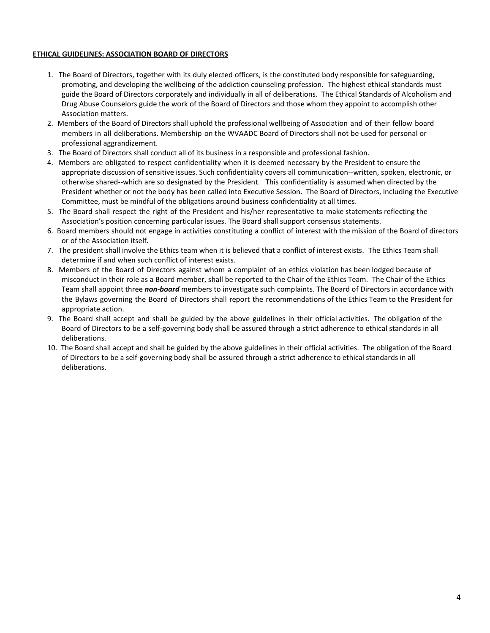## **ETHICAL GUIDELINES: ASSOCIATION BOARD OF DIRECTORS**

- 1. The Board of Directors, together with its duly elected officers, is the constituted body responsible for safeguarding, promoting, and developing the wellbeing of the addiction counseling profession. The highest ethical standards must guide the Board of Directors corporately and individually in all of deliberations. The Ethical Standards of Alcoholism and Drug Abuse Counselors guide the work of the Board of Directors and those whom they appoint to accomplish other Association matters.
- 2. Members of the Board of Directors shall uphold the professional wellbeing of Association and of their fellow board members in all deliberations. Membership on the WVAADC Board of Directors shall not be used for personal or professional aggrandizement.
- 3. The Board of Directors shall conduct all of its business in a responsible and professional fashion.
- 4. Members are obligated to respect confidentiality when it is deemed necessary by the President to ensure the appropriate discussion of sensitive issues. Such confidentiality covers all communication--written, spoken, electronic, or otherwise shared--which are so designated by the President. This confidentiality is assumed when directed by the President whether or not the body has been called into Executive Session. The Board of Directors, including the Executive Committee, must be mindful of the obligations around business confidentiality at all times.
- 5. The Board shall respect the right of the President and his/her representative to make statements reflecting the Association's position concerning particular issues. The Board shall support consensus statements.
- 6. Board members should not engage in activities constituting a conflict of interest with the mission of the Board of directors or of the Association itself.
- 7. The president shall involve the Ethics team when it is believed that a conflict of interest exists. The Ethics Team shall determine if and when such conflict of interest exists.
- 8. Members of the Board of Directors against whom a complaint of an ethics violation has been lodged because of misconduct in their role as a Board member, shall be reported to the Chair of the Ethics Team. The Chair of the Ethics Team shall appoint three *non-board* members to investigate such complaints. The Board of Directors in accordance with the Bylaws governing the Board of Directors shall report the recommendations of the Ethics Team to the President for appropriate action.
- 9. The Board shall accept and shall be guided by the above guidelines in their official activities. The obligation of the Board of Directors to be a self-governing body shall be assured through a strict adherence to ethical standards in all deliberations.
- 10. The Board shall accept and shall be guided by the above guidelines in their official activities. The obligation of the Board of Directors to be a self-governing body shall be assured through a strict adherence to ethical standards in all deliberations.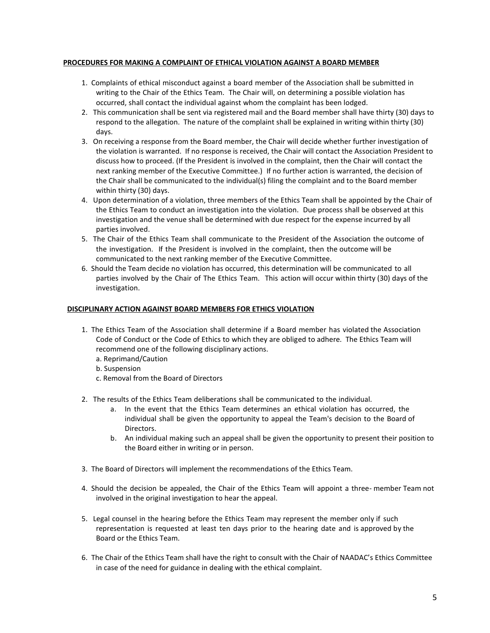## **PROCEDURES FOR MAKING A COMPLAINT OF ETHICAL VIOLATION AGAINST A BOARD MEMBER**

- 1. Complaints of ethical misconduct against a board member of the Association shall be submitted in writing to the Chair of the Ethics Team. The Chair will, on determining a possible violation has occurred, shall contact the individual against whom the complaint has been lodged.
- 2. This communication shall be sent via registered mail and the Board member shall have thirty (30) days to respond to the allegation. The nature of the complaint shall be explained in writing within thirty (30) days.
- 3. On receiving a response from the Board member, the Chair will decide whether further investigation of the violation is warranted. If no response is received, the Chair will contact the Association President to discuss how to proceed. (If the President is involved in the complaint, then the Chair will contact the next ranking member of the Executive Committee.) If no further action is warranted, the decision of the Chair shall be communicated to the individual(s) filing the complaint and to the Board member within thirty (30) days.
- 4. Upon determination of a violation, three members of the Ethics Team shall be appointed by the Chair of the Ethics Team to conduct an investigation into the violation. Due process shall be observed at this investigation and the venue shall be determined with due respect for the expense incurred by all parties involved.
- 5. The Chair of the Ethics Team shall communicate to the President of the Association the outcome of the investigation. If the President is involved in the complaint, then the outcome will be communicated to the next ranking member of the Executive Committee.
- 6. Should the Team decide no violation has occurred, this determination will be communicated to all parties involved by the Chair of The Ethics Team. This action will occur within thirty (30) days of the investigation.

## **DISCIPLINARY ACTION AGAINST BOARD MEMBERS FOR ETHICS VIOLATION**

- 1. The Ethics Team of the Association shall determine if a Board member has violated the Association Code of Conduct or the Code of Ethics to which they are obliged to adhere. The Ethics Team will recommend one of the following disciplinary actions.
	- a. Reprimand/Caution
	- b. Suspension
	- c. Removal from the Board of Directors
- 2. The results of the Ethics Team deliberations shall be communicated to the individual.
	- a. In the event that the Ethics Team determines an ethical violation has occurred, the individual shall be given the opportunity to appeal the Team's decision to the Board of Directors.
	- b. An individual making such an appeal shall be given the opportunity to present their position to the Board either in writing or in person.
- 3. The Board of Directors will implement the recommendations of the Ethics Team.
- 4. Should the decision be appealed, the Chair of the Ethics Team will appoint a three- member Team not involved in the original investigation to hear the appeal.
- 5. Legal counsel in the hearing before the Ethics Team may represent the member only if such representation is requested at least ten days prior to the hearing date and is approved by the Board or the Ethics Team.
- 6. The Chair of the Ethics Team shall have the right to consult with the Chair of NAADAC's Ethics Committee in case of the need for guidance in dealing with the ethical complaint.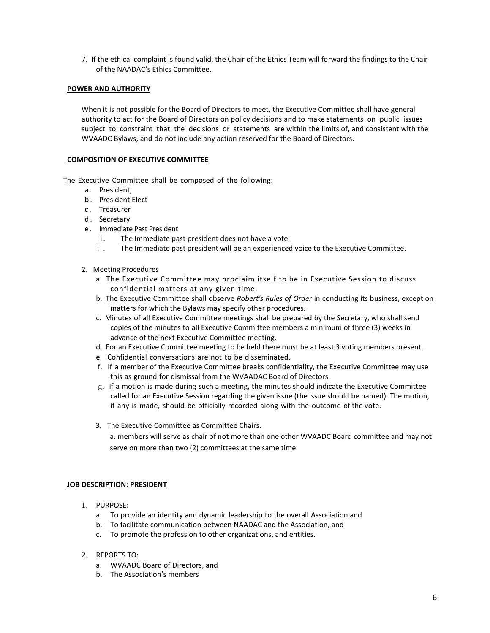7. If the ethical complaint is found valid, the Chair of the Ethics Team will forward the findings to the Chair of the NAADAC's Ethics Committee.

## **POWER AND AUTHORITY**

When it is not possible for the Board of Directors to meet, the Executive Committee shall have general authority to act for the Board of Directors on policy decisions and to make statements on public issues subject to constraint that the decisions or statements are within the limits of, and consistent with the WVAADC Bylaws, and do not include any action reserved for the Board of Directors.

## **COMPOSITION OF EXECUTIVE COMMITTEE**

The Executive Committee shall be composed of the following:

- a. President,
- b. President Elect
- c. Treasurer
- d. Secretary
- e . Immediate Past President
	- i. The Immediate past president does not have a vote.
	- ii. The Immediate past president will be an experienced voice to the Executive Committee.
- 2. Meeting Procedures
	- a. The Executive Committee may proclaim itself to be in Executive Session to discuss confidential matters at any given time.
	- b. The Executive Committee shall observe *Robert's Rules of Order* in conducting its business, except on matters for which the Bylaws may specify other procedures.
	- c. Minutes of all Executive Committee meetings shall be prepared by the Secretary, who shall send copies of the minutes to all Executive Committee members a minimum of three (3) weeks in advance of the next Executive Committee meeting.
	- d. For an Executive Committee meeting to be held there must be at least 3 voting members present.
	- e. Confidential conversations are not to be disseminated.
	- f. If a member of the Executive Committee breaks confidentiality, the Executive Committee may use this as ground for dismissal from the WVAADAC Board of Directors.
	- g. If a motion is made during such a meeting, the minutes should indicate the Executive Committee called for an Executive Session regarding the given issue (the issue should be named). The motion, if any is made, should be officially recorded along with the outcome of the vote.
	- 3. The Executive Committee as Committee Chairs.

a. members will serve as chair of not more than one other WVAADC Board committee and may not serve on more than two (2) committees at the same time.

## **JOB DESCRIPTION: PRESIDENT**

- 1. PURPOSE**:**
	- a. To provide an identity and dynamic leadership to the overall Association and
	- b. To facilitate communication between NAADAC and the Association, and
	- c. To promote the profession to other organizations, and entities.
- 2. REPORTS TO:
	- a. WVAADC Board of Directors, and
	- b. The Association's members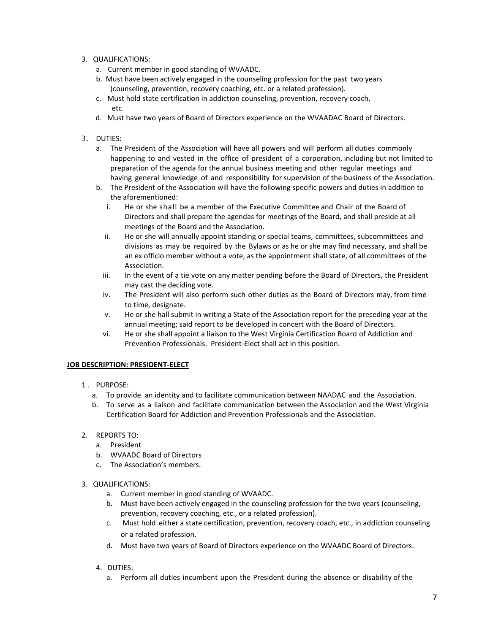## 3. QUALIFICATIONS:

- a. Current member in good standing of WVAADC.
- b. Must have been actively engaged in the counseling profession for the past two years (counseling, prevention, recovery coaching, etc. or a related profession).
- c. Must hold state certification in addiction counseling, prevention, recovery coach, etc.
- d. Must have two years of Board of Directors experience on the WVAADAC Board of Directors.

## 3. DUTIES:

- a. The President of the Association will have all powers and will perform all duties commonly happening to and vested in the office of president of a corporation, including but not limited to preparation of the agenda for the annual business meeting and other regular meetings and having general knowledge of and responsibility for supervision of the business of the Association.
- b. The President of the Association will have the following specific powers and duties in addition to the aforementioned:
	- i. He or she shall be a member of the Executive Committee and Chair of the Board of Directors and shall prepare the agendas for meetings of the Board, and shall preside at all meetings of the Board and the Association.
	- ii. He or she will annually appoint standing or special teams, committees, subcommittees and divisions as may be required by the Bylaws or as he or she may find necessary, and shall be an ex officio member without a vote, as the appointment shall state, of all committees of the Association.
	- iii. In the event of a tie vote on any matter pending before the Board of Directors, the President may cast the deciding vote.
	- iv. The President will also perform such other duties as the Board of Directors may, from time to time, designate.
	- v. He or she hall submit in writing a State of the Association report for the preceding year at the annual meeting; said report to be developed in concert with the Board of Directors.
	- vi. He or she shall appoint a liaison to the West Virginia Certification Board of Addiction and Prevention Professionals. President-Elect shall act in this position.

## **JOB DESCRIPTION: PRESIDENT-ELECT**

- 1 . PURPOSE:
	- a. To provide an identity and to facilitate communication between NAADAC and the Association.
	- b. To serve as a liaison and facilitate communication between the Association and the West Virginia Certification Board for Addiction and Prevention Professionals and the Association.
- 2. REPORTS TO:
	- a. President
	- b. WVAADC Board of Directors
	- c. The Association's members.

## 3. QUALIFICATIONS:

- a. Current member in good standing of WVAADC.
- b. Must have been actively engaged in the counseling profession for the two years (counseling, prevention, recovery coaching, etc., or a related profession).
- c. Must hold either a state certification, prevention, recovery coach, etc., in addiction counseling or a related profession.
- d. Must have two years of Board of Directors experience on the WVAADC Board of Directors.
- 4. DUTIES:
	- a. Perform all duties incumbent upon the President during the absence or disability of the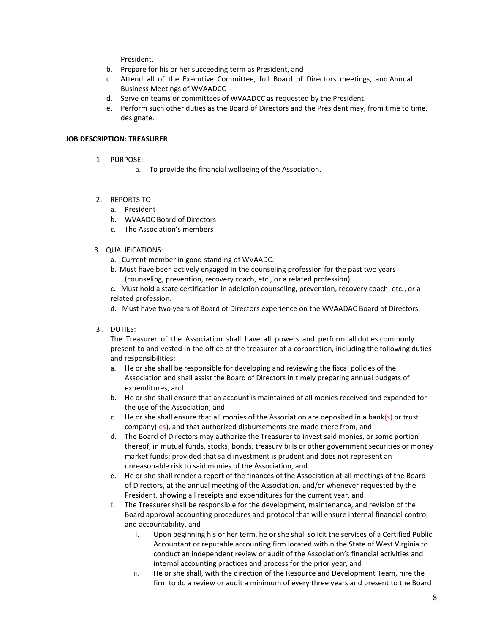President.

- b. Prepare for his or her succeeding term as President, and
- c. Attend all of the Executive Committee, full Board of Directors meetings, and Annual Business Meetings of WVAADCC
- d. Serve on teams or committees of WVAADCC as requested by the President.
- e. Perform such other duties as the Board of Directors and the President may, from time to time, designate.

## **JOB DESCRIPTION: TREASURER**

- 1 . PURPOSE:
	- a. To provide the financial wellbeing of the Association.
- 2. REPORTS TO:
	- a. President
	- b. WVAADC Board of Directors
	- c. The Association's members
- 3. QUALIFICATIONS:
	- a. Current member in good standing of WVAADC.
	- b. Must have been actively engaged in the counseling profession for the past two years (counseling, prevention, recovery coach, etc., or a related profession).

c. Must hold a state certification in addiction counseling, prevention, recovery coach, etc., or a related profession.

- d. Must have two years of Board of Directors experience on the WVAADAC Board of Directors.
- 3 . DUTIES:

The Treasurer of the Association shall have all powers and perform all duties commonly present to and vested in the office of the treasurer of a corporation, including the following duties and responsibilities:

- a. He or she shall be responsible for developing and reviewing the fiscal policies of the Association and shall assist the Board of Directors in timely preparing annual budgets of expenditures, and
- b. He or she shall ensure that an account is maintained of all monies received and expended for the use of the Association, and
- c. He or she shall ensure that all monies of the Association are deposited in a bank(s) or trust company(ies), and that authorized disbursements are made there from, and
- d. The Board of Directors may authorize the Treasurer to invest said monies, or some portion thereof, in mutual funds, stocks, bonds, treasury bills or other government securities or money market funds; provided that said investment is prudent and does not represent an unreasonable risk to said monies of the Association, and
- e. He or she shall render a report of the finances of the Association at all meetings of the Board of Directors, at the annual meeting of the Association, and/or whenever requested by the President, showing all receipts and expenditures for the current year, and
- f. The Treasurer shall be responsible for the development, maintenance, and revision of the Board approval accounting procedures and protocol that will ensure internal financial control and accountability, and
	- i. Upon beginning his or her term, he or she shall solicit the services of a Certified Public Accountant or reputable accounting firm located within the State of West Virginia to conduct an independent review or audit of the Association's financial activities and internal accounting practices and process for the prior year, and
	- ii. He or she shall, with the direction of the Resource and Development Team, hire the firm to do a review or audit a minimum of every three years and present to the Board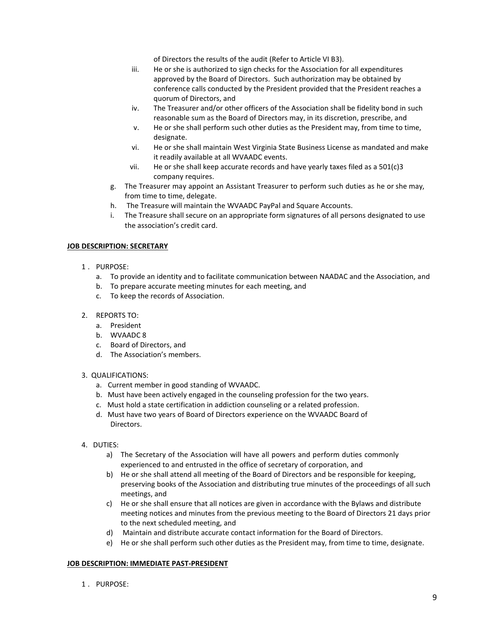of Directors the results of the audit (Refer to Article VI B3).

- iii. He or she is authorized to sign checks for the Association for all expenditures approved by the Board of Directors. Such authorization may be obtained by conference calls conducted by the President provided that the President reaches a quorum of Directors, and
- iv. The Treasurer and/or other officers of the Association shall be fidelity bond in such reasonable sum as the Board of Directors may, in its discretion, prescribe, and
- v. He or she shall perform such other duties as the President may, from time to time, designate.
- vi. He or she shall maintain West Virginia State Business License as mandated and make it readily available at all WVAADC events.
- vii. He or she shall keep accurate records and have yearly taxes filed as a 501(c)3 company requires.
- g. The Treasurer may appoint an Assistant Treasurer to perform such duties as he or she may, from time to time, delegate.
- h. The Treasure will maintain the WVAADC PayPal and Square Accounts.
- i. The Treasure shall secure on an appropriate form signatures of all persons designated to use the association's credit card.

## **JOB DESCRIPTION: SECRETARY**

- 1 . PURPOSE:
	- a. To provide an identity and to facilitate communication between NAADAC and the Association, and
	- b. To prepare accurate meeting minutes for each meeting, and
	- c. To keep the records of Association.
- 2. REPORTS TO:
	- a. President
	- b. WVAADC 8
	- c. Board of Directors, and
	- d. The Association's members.

## 3. QUALIFICATIONS:

- a. Current member in good standing of WVAADC.
- b. Must have been actively engaged in the counseling profession for the two years.
- c. Must hold a state certification in addiction counseling or a related profession.
- d. Must have two years of Board of Directors experience on the WVAADC Board of Directors.
- 4. DUTIES:
	- a) The Secretary of the Association will have all powers and perform duties commonly experienced to and entrusted in the office of secretary of corporation, and
	- b) He or she shall attend all meeting of the Board of Directors and be responsible for keeping, preserving books of the Association and distributing true minutes of the proceedings of all such meetings, and
	- c) He or she shall ensure that all notices are given in accordance with the Bylaws and distribute meeting notices and minutes from the previous meeting to the Board of Directors 21 days prior to the next scheduled meeting, and
	- d) Maintain and distribute accurate contact information for the Board of Directors.
	- e) He or she shall perform such other duties as the President may, from time to time, designate.

## **JOB DESCRIPTION: IMMEDIATE PAST-PRESIDENT**

1 . PURPOSE: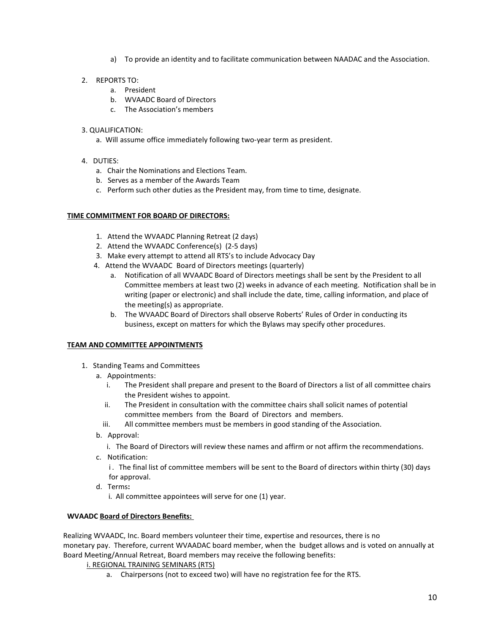- a) To provide an identity and to facilitate communication between NAADAC and the Association.
- 2. REPORTS TO:
	- a. President
	- b. WVAADC Board of Directors
	- c. The Association's members

## 3. QUALIFICATION:

- a. Will assume office immediately following two-year term as president.
- 4. DUTIES:
	- a. Chair the Nominations and Elections Team.
	- b. Serves as a member of the Awards Team
	- c. Perform such other duties as the President may, from time to time, designate.

## **TIME COMMITMENT FOR BOARD OF DIRECTORS:**

- 1. Attend the WVAADC Planning Retreat (2 days)
- 2. Attend the WVAADC Conference(s) (2-5 days)
- 3. Make every attempt to attend all RTS's to include Advocacy Day
- 4. Attend the WVAADC Board of Directors meetings (quarterly)
	- a. Notification of all WVAADC Board of Directors meetings shall be sent by the President to all Committee members at least two (2) weeks in advance of each meeting. Notification shall be in writing (paper or electronic) and shall include the date, time, calling information, and place of the meeting(s) as appropriate.
	- b. The WVAADC Board of Directors shall observe Roberts' Rules of Order in conducting its business, except on matters for which the Bylaws may specify other procedures.

## **TEAM AND COMMITTEE APPOINTMENTS**

- 1. Standing Teams and Committees
	- a. Appointments:
		- i. The President shall prepare and present to the Board of Directors a list of all committee chairs the President wishes to appoint.
		- ii. The President in consultation with the committee chairs shall solicit names of potential committee members from the Board of Directors and members.
		- iii. All committee members must be members in good standing of the Association.
	- b. Approval:
		- i. The Board of Directors will review these names and affirm or not affirm the recommendations.
	- c. Notification:

i. The final list of committee members will be sent to the Board of directors within thirty (30) days for approval.

- d. Terms**:**
	- i.All committee appointees will serve for one (1) year.

## **WVAADC Board of Directors Benefits:**

Realizing WVAADC, Inc. Board members volunteer their time, expertise and resources, there is no monetary pay. Therefore, current WVAADAC board member, when the budget allows and is voted on annually at Board Meeting/Annual Retreat, Board members may receive the following benefits:

## i. REGIONAL TRAINING SEMINARS (RTS)

a. Chairpersons (not to exceed two) will have no registration fee for the RTS.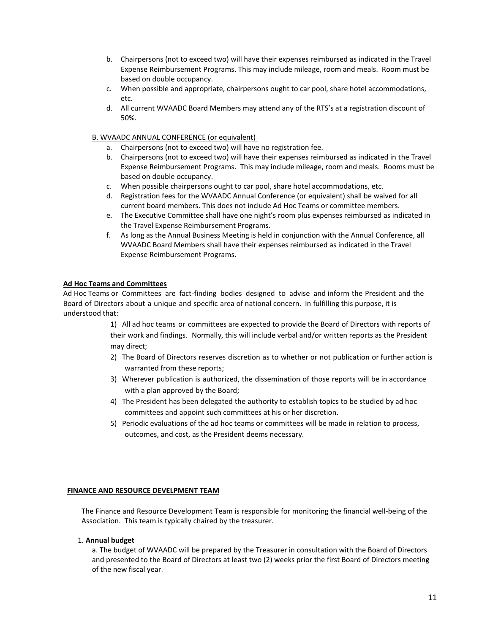- b. Chairpersons (not to exceed two) will have their expenses reimbursed as indicated in the Travel Expense Reimbursement Programs. This may include mileage, room and meals. Room must be based on double occupancy.
- c. When possible and appropriate, chairpersons ought to car pool, share hotel accommodations, etc.
- d. All current WVAADC Board Members may attend any of the RTS's at a registration discount of 50%.

## B. WVAADC ANNUAL CONFERENCE (or equivalent)

- a. Chairpersons (not to exceed two) will have no registration fee.
- b. Chairpersons (not to exceed two) will have their expenses reimbursed as indicated in the Travel Expense Reimbursement Programs. This may include mileage, room and meals. Rooms must be based on double occupancy.
- c. When possible chairpersons ought to car pool, share hotel accommodations, etc.
- d. Registration fees for the WVAADC Annual Conference (or equivalent) shall be waived for all current board members. This does not include Ad Hoc Teams or committee members.
- e. The Executive Committee shall have one night's room plus expenses reimbursed as indicated in the Travel Expense Reimbursement Programs.
- f. As long as the Annual Business Meeting is held in conjunction with the Annual Conference, all WVAADC Board Members shall have their expenses reimbursed as indicated in the Travel Expense Reimbursement Programs.

## **Ad Hoc Teams and Committees**

Ad Hoc Teams or Committees are fact-finding bodies designed to advise and inform the President and the Board of Directors about a unique and specific area of national concern. In fulfilling this purpose, it is understood that:

> 1) All ad hoc teams or committees are expected to provide the Board of Directors with reports of their work and findings. Normally, this will include verbal and/or written reports as the President may direct;

- 2) The Board of Directors reserves discretion as to whether or not publication or further action is warranted from these reports;
- 3) Wherever publication is authorized, the dissemination of those reports will be in accordance with a plan approved by the Board;
- 4) The President has been delegated the authority to establish topics to be studied by ad hoc committees and appoint such committees at his or her discretion.
- 5) Periodic evaluations of the ad hoc teams or committees will be made in relation to process, outcomes, and cost, as the President deems necessary.

## **FINANCE AND RESOURCE DEVELPMENT TEAM**

The Finance and Resource Development Team is responsible for monitoring the financial well-being of the Association. This team is typically chaired by the treasurer.

## 1. **Annual budget**

a. The budget of WVAADC will be prepared by the Treasurer in consultation with the Board of Directors and presented to the Board of Directors at least two (2) weeks prior the first Board of Directors meeting of the new fiscal year.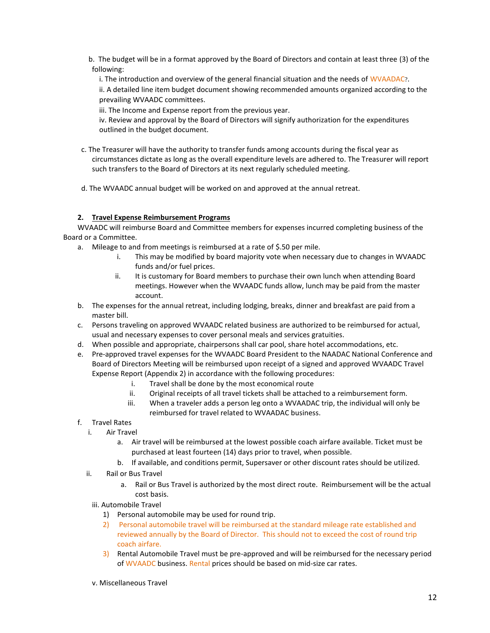- b. The budget will be in a format approved by the Board of Directors and contain at least three (3) of the following:
	- i. The introduction and overview of the general financial situation and the needs of WVAADAC?.

ii. A detailed line item budget document showing recommended amounts organized according to the prevailing WVAADC committees.

iii. The Income and Expense report from the previous year.

iv. Review and approval by the Board of Directors will signify authorization for the expenditures outlined in the budget document.

c. The Treasurer will have the authority to transfer funds among accounts during the fiscal year as circumstances dictate as long as the overall expenditure levels are adhered to. The Treasurer will report such transfers to the Board of Directors at its next regularly scheduled meeting.

d. The WVAADC annual budget will be worked on and approved at the annual retreat.

## **2. Travel Expense Reimbursement Programs**

WVAADC will reimburse Board and Committee members for expenses incurred completing business of the Board or a Committee.

- a. Mileage to and from meetings is reimbursed at a rate of \$.50 per mile.
	- i. This may be modified by board majority vote when necessary due to changes in WVAADC funds and/or fuel prices.
	- ii. It is customary for Board members to purchase their own lunch when attending Board meetings. However when the WVAADC funds allow, lunch may be paid from the master account.
- b. The expenses for the annual retreat, including lodging, breaks, dinner and breakfast are paid from a master bill.
- c. Persons traveling on approved WVAADC related business are authorized to be reimbursed for actual, usual and necessary expenses to cover personal meals and services gratuities.
- d. When possible and appropriate, chairpersons shall car pool, share hotel accommodations, etc.
- e. Pre-approved travel expenses for the WVAADC Board President to the NAADAC National Conference and Board of Directors Meeting will be reimbursed upon receipt of a signed and approved WVAADC Travel Expense Report (Appendix 2) in accordance with the following procedures:
	- i. Travel shall be done by the most economical route
	- ii. Original receipts of all travel tickets shall be attached to a reimbursement form.
	- iii. When a traveler adds a person leg onto a WVAADAC trip, the individual will only be reimbursed for travel related to WVAADAC business.
- f. Travel Rates
	- i. Air Travel
		- a. Air travel will be reimbursed at the lowest possible coach airfare available. Ticket must be purchased at least fourteen (14) days prior to travel, when possible.
		- b. If available, and conditions permit, Supersaver or other discount rates should be utilized.
	- ii. Rail or Bus Travel
		- a. Rail or Bus Travel is authorized by the most direct route. Reimbursement will be the actual cost basis.
		- iii. Automobile Travel
			- 1) Personal automobile may be used for round trip.
			- 2) Personal automobile travel will be reimbursed at the standard mileage rate established and reviewed annually by the Board of Director. This should not to exceed the cost of round trip coach airfare.
			- 3) Rental Automobile Travel must be pre-approved and will be reimbursed for the necessary period of WVAADC business. Rental prices should be based on mid-size car rates.
		- v. Miscellaneous Travel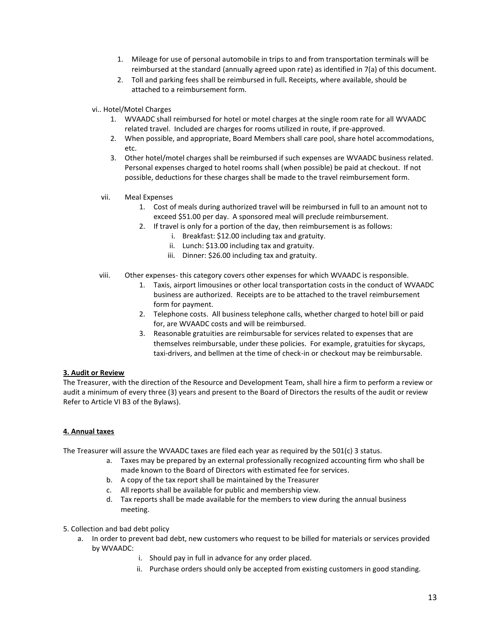- 1. Mileage for use of personal automobile in trips to and from transportation terminals will be reimbursed at the standard (annually agreed upon rate) as identified in 7(a) of this document.
- 2. Toll and parking fees shall be reimbursed in full**.** Receipts, where available, should be attached to a reimbursement form.
- vi.. Hotel/Motel Charges
	- 1. WVAADC shall reimbursed for hotel or motel charges at the single room rate for all WVAADC related travel. Included are charges for rooms utilized in route, if pre-approved.
	- 2. When possible, and appropriate, Board Members shall care pool, share hotel accommodations, etc.
	- 3. Other hotel/motel charges shall be reimbursed if such expenses are WVAADC business related. Personal expenses charged to hotel rooms shall (when possible) be paid at checkout. If not possible, deductions for these charges shall be made to the travel reimbursement form.
	- vii. Meal Expenses
		- 1. Cost of meals during authorized travel will be reimbursed in full to an amount not to exceed \$51.00 per day. A sponsored meal will preclude reimbursement.
		- 2. If travel is only for a portion of the day, then reimbursement is as follows:
			- i. Breakfast: \$12.00 including tax and gratuity.
			- ii. Lunch: \$13.00 including tax and gratuity.
			- iii. Dinner: \$26.00 including tax and gratuity.
	- viii. Other expenses- this category covers other expenses for which WVAADC is responsible.
		- 1. Taxis, airport limousines or other local transportation costs in the conduct of WVAADC business are authorized. Receipts are to be attached to the travel reimbursement form for payment.
		- 2. Telephone costs. All business telephone calls, whether charged to hotel bill or paid for, are WVAADC costs and will be reimbursed.
		- 3. Reasonable gratuities are reimbursable for services related to expenses that are themselves reimbursable, under these policies. For example, gratuities for skycaps, taxi-drivers, and bellmen at the time of check-in or checkout may be reimbursable.

## **3. Audit or Review**

The Treasurer, with the direction of the Resource and Development Team, shall hire a firm to perform a review or audit a minimum of every three (3) years and present to the Board of Directors the results of the audit or review Refer to Article VI B3 of the Bylaws).

## **4. Annual taxes**

The Treasurer will assure the WVAADC taxes are filed each year as required by the 501(c) 3 status.

- a. Taxes may be prepared by an external professionally recognized accounting firm who shall be made known to the Board of Directors with estimated fee for services.
- b. A copy of the tax report shall be maintained by the Treasurer
- c. All reports shall be available for public and membership view.
- d. Tax reports shall be made available for the members to view during the annual business meeting.
- 5. Collection and bad debt policy
	- a. In order to prevent bad debt, new customers who request to be billed for materials or services provided by WVAADC:
		- i. Should pay in full in advance for any order placed.
		- ii. Purchase orders should only be accepted from existing customers in good standing.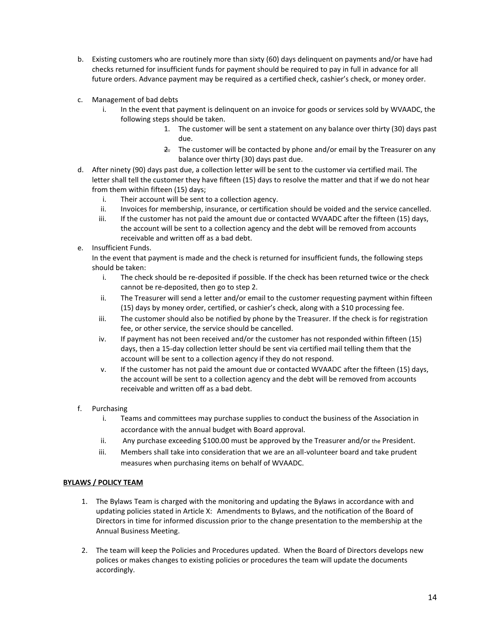- b. Existing customers who are routinely more than sixty (60) days delinquent on payments and/or have had checks returned for insufficient funds for payment should be required to pay in full in advance for all future orders. Advance payment may be required as a certified check, cashier's check, or money order.
- c. Management of bad debts
	- i. In the event that payment is delinquent on an invoice for goods or services sold by WVAADC, the following steps should be taken.
		- 1. The customer will be sent a statement on any balance over thirty (30) days past due.
		- $\frac{2}{x}$ . The customer will be contacted by phone and/or email by the Treasurer on any balance over thirty (30) days past due.
- d. After ninety (90) days past due, a collection letter will be sent to the customer via certified mail. The letter shall tell the customer they have fifteen (15) days to resolve the matter and that if we do not hear from them within fifteen (15) days;
	- i. Their account will be sent to a collection agency.
	- ii. Invoices for membership, insurance, or certification should be voided and the service cancelled.
	- iii. If the customer has not paid the amount due or contacted WVAADC after the fifteen (15) days, the account will be sent to a collection agency and the debt will be removed from accounts receivable and written off as a bad debt.
- e. Insufficient Funds.

In the event that payment is made and the check is returned for insufficient funds, the following steps should be taken:

- i. The check should be re-deposited if possible. If the check has been returned twice or the check cannot be re-deposited, then go to step 2.
- ii. The Treasurer will send a letter and/or email to the customer requesting payment within fifteen (15) days by money order, certified, or cashier's check, along with a \$10 processing fee.
- iii. The customer should also be notified by phone by the Treasurer. If the check is for registration fee, or other service, the service should be cancelled.
- iv. If payment has not been received and/or the customer has not responded within fifteen (15) days, then a 15-day collection letter should be sent via certified mail telling them that the account will be sent to a collection agency if they do not respond.
- v. If the customer has not paid the amount due or contacted WVAADC after the fifteen (15) days, the account will be sent to a collection agency and the debt will be removed from accounts receivable and written off as a bad debt.
- f. Purchasing
	- i. Teams and committees may purchase supplies to conduct the business of the Association in accordance with the annual budget with Board approval.
	- ii. Any purchase exceeding \$100.00 must be approved by the Treasurer and/or the President.
	- iii. Members shall take into consideration that we are an all-volunteer board and take prudent measures when purchasing items on behalf of WVAADC.

## **BYLAWS / POLICY TEAM**

- 1. The Bylaws Team is charged with the monitoring and updating the Bylaws in accordance with and updating policies stated in Article X: Amendments to Bylaws, and the notification of the Board of Directors in time for informed discussion prior to the change presentation to the membership at the Annual Business Meeting.
- 2. The team will keep the Policies and Procedures updated. When the Board of Directors develops new polices or makes changes to existing policies or procedures the team will update the documents accordingly.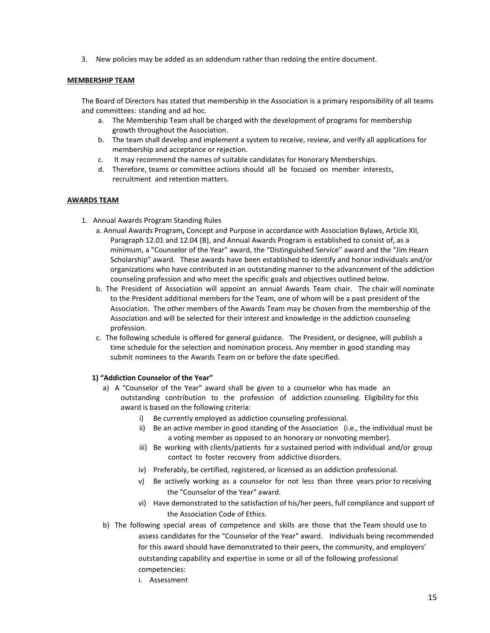3. New policies may be added as an addendum rather than redoing the entire document.

## **MEMBERSHIP TEAM**

The Board of Directors has stated that membership in the Association is a primary responsibility of all teams and committees: standing and ad hoc.

- a. The Membership Team shall be charged with the development of programs for membership growth throughout the Association.
- b. The team shall develop and implement a system to receive, review, and verify all applications for membership and acceptance or rejection.
- c. It may recommend the names of suitable candidates for Honorary Memberships.
- d. Therefore, teams or committee actions should all be focused on member interests, recruitment and retention matters.

## **AWARDS TEAM**

- 1. Annual Awards Program Standing Rules
	- a. Annual Awards Program**,** Concept and Purpose in accordance with Association Bylaws, Article XII, Paragraph 12.01 and 12.04 (B), and Annual Awards Program is established to consist of, as a minimum, a "Counselor of the Year" award, the "Distinguished Service" award and the "Jim Hearn Scholarship" award. These awards have been established to identify and honor individuals and/or organizations who have contributed in an outstanding manner to the advancement of the addiction counseling profession and who meet the specific goals and objectives outlined below.
	- b. The President of Association will appoint an annual Awards Team chair. The chair will nominate to the President additional members for the Team, one of whom will be a past president of the Association. The other members of the Awards Team may be chosen from the membership of the Association and will be selected for their interest and knowledge in the addiction counseling profession.
	- c. The following schedule is offered for general guidance. The President, or designee, will publish a time schedule for the selection and nomination process. Any member in good standing may submit nominees to the Awards Team on or before the date specified.

## **1) "Addiction Counselor of the Year"**

- a) A "Counselor of the Year" award shall be given to a counselor who has made an outstanding contribution to the profession of addiction counseling. Eligibility for this award is based on the following criteria:
	- i) Be currently employed as addiction counseling professional.
	- ii) Be an active member in good standing of the Association (i.e., the individual must be a voting member as opposed to an honorary or nonvoting member).
	- iii) Be working with clients/patients for a sustained period with individual and/or group contact to foster recovery from addictive disorders.
	- iv) Preferably, be certified, registered, or licensed as an addiction professional.
	- v) Be actively working as a counselor for not less than three years prior to receiving the "Counselor of the Year" award.
	- vi) Have demonstrated to the satisfaction of his/her peers, full compliance and support of the Association Code of Ethics.
- b) The following special areas of competence and skills are those that the Team should use to assess candidates for the "Counselor of the Year" award. Individuals being recommended for this award should have demonstrated to their peers, the community, and employers' outstanding capability and expertise in some or all of the following professional competencies:
	- i. Assessment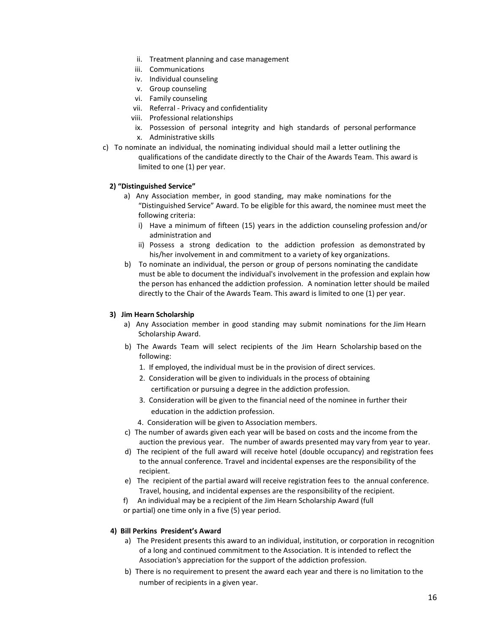- ii. Treatment planning and case management
- iii. Communications
- iv. Individual counseling
- v. Group counseling
- vi. Family counseling
- vii. Referral Privacy and confidentiality
- viii. Professional relationships
- ix. Possession of personal integrity and high standards of personal performance
- x. Administrative skills
- c) To nominate an individual, the nominating individual should mail a letter outlining the qualifications of the candidate directly to the Chair of the Awards Team. This award is limited to one (1) per year.

## **2) "Distinguished Service"**

- a) Any Association member, in good standing, may make nominations for the "Distinguished Service" Award. To be eligible for this award, the nominee must meet the following criteria:
	- i) Have a minimum of fifteen (15) years in the addiction counseling profession and/or administration and
	- ii) Possess a strong dedication to the addiction profession as demonstrated by his/her involvement in and commitment to a variety of key organizations.
- b) To nominate an individual, the person or group of persons nominating the candidate must be able to document the individual's involvement in the profession and explain how the person has enhanced the addiction profession. A nomination letter should be mailed directly to the Chair of the Awards Team. This award is limited to one (1) per year.

## **3) Jim Hearn Scholarship**

- a) Any Association member in good standing may submit nominations for the Jim Hearn Scholarship Award.
- b) The Awards Team will select recipients of the Jim Hearn Scholarship based on the following:
	- 1. If employed, the individual must be in the provision of direct services.
	- 2. Consideration will be given to individuals in the process of obtaining certification or pursuing a degree in the addiction profession.
	- 3. Consideration will be given to the financial need of the nominee in further their education in the addiction profession.

4. Consideration will be given to Association members.

- c) The number of awards given each year will be based on costs and the income from the auction the previous year. The number of awards presented may vary from year to year.
- d) The recipient of the full award will receive hotel (double occupancy) and registration fees to the annual conference. Travel and incidental expenses are the responsibility of the recipient.
- e) The recipient of the partial award will receive registration fees to the annual conference. Travel, housing, and incidental expenses are the responsibility of the recipient.
- f) An individual may be a recipient of the Jim Hearn Scholarship Award (full
- or partial) one time only in a five (5) year period.

## **4) Bill Perkins President's Award**

- a) The President presents this award to an individual, institution, or corporation in recognition of a long and continued commitment to the Association. It is intended to reflect the Association's appreciation for the support of the addiction profession.
- b) There is no requirement to present the award each year and there is no limitation to the number of recipients in a given year.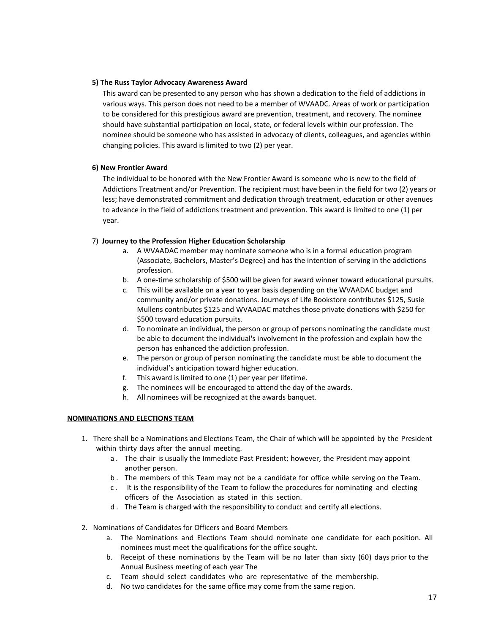## **5) The Russ Taylor Advocacy Awareness Award**

This award can be presented to any person who has shown a dedication to the field of addictions in various ways. This person does not need to be a member of WVAADC. Areas of work or participation to be considered for this prestigious award are prevention, treatment, and recovery. The nominee should have substantial participation on local, state, or federal levels within our profession. The nominee should be someone who has assisted in advocacy of clients, colleagues, and agencies within changing policies. This award is limited to two (2) per year.

## **6) New Frontier Award**

The individual to be honored with the New Frontier Award is someone who is new to the field of Addictions Treatment and/or Prevention. The recipient must have been in the field for two (2) years or less; have demonstrated commitment and dedication through treatment, education or other avenues to advance in the field of addictions treatment and prevention. This award is limited to one (1) per year.

## 7) **Journey to the Profession Higher Education Scholarship**

- a. A WVAADAC member may nominate someone who is in a formal education program (Associate, Bachelors, Master's Degree) and has the intention of serving in the addictions profession.
- b. A one-time scholarship of \$500 will be given for award winner toward educational pursuits.
- c. This will be available on a year to year basis depending on the WVAADAC budget and community and/or private donations. Journeys of Life Bookstore contributes \$125, Susie Mullens contributes \$125 and WVAADAC matches those private donations with \$250 for \$500 toward education pursuits.
- d. To nominate an individual, the person or group of persons nominating the candidate must be able to document the individual's involvement in the profession and explain how the person has enhanced the addiction profession.
- e. The person or group of person nominating the candidate must be able to document the individual's anticipation toward higher education.
- f. This award is limited to one (1) per year per lifetime.
- g. The nominees will be encouraged to attend the day of the awards.
- h. All nominees will be recognized at the awards banquet.

## **NOMINATIONS AND ELECTIONS TEAM**

- 1. There shall be a Nominations and Elections Team, the Chair of which will be appointed by the President within thirty days after the annual meeting.
	- a . The chair is usually the Immediate Past President; however, the President may appoint another person.
	- b . The members of this Team may not be a candidate for office while serving on the Team.
	- c . It is the responsibility of the Team to follow the procedures for nominating and electing officers of the Association as stated in this section.
	- d . The Team is charged with the responsibility to conduct and certify all elections.
- 2. Nominations of Candidates for Officers and Board Members
	- a. The Nominations and Elections Team should nominate one candidate for each position. All nominees must meet the qualifications for the office sought.
	- b. Receipt of these nominations by the Team will be no later than sixty (60) days prior to the Annual Business meeting of each year The
	- c. Team should select candidates who are representative of the membership.
	- d. No two candidates for the same office may come from the same region.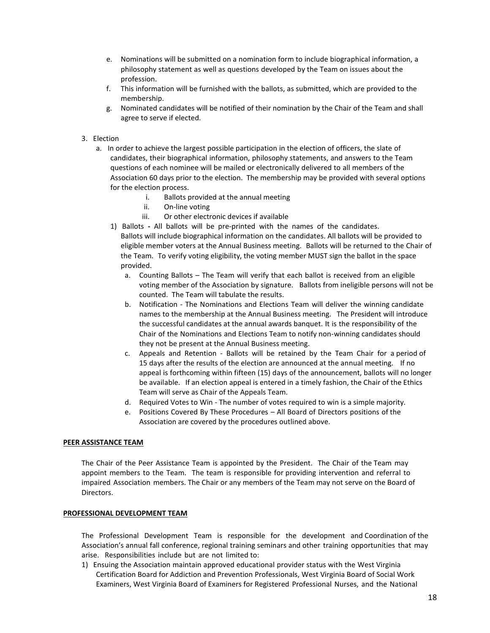- e. Nominations will be submitted on a nomination form to include biographical information, a philosophy statement as well as questions developed by the Team on issues about the profession.
- f. This information will be furnished with the ballots, as submitted, which are provided to the membership.
- g. Nominated candidates will be notified of their nomination by the Chair of the Team and shall agree to serve if elected.

## 3. Election

- a. In order to achieve the largest possible participation in the election of officers, the slate of candidates, their biographical information, philosophy statements, and answers to the Team questions of each nominee will be mailed or electronically delivered to all members of the Association 60 days prior to the election. The membership may be provided with several options for the election process.
	- i. Ballots provided at the annual meeting
	- ii. On-line voting
	- iii. Or other electronic devices if available
	- 1) Ballots **-** All ballots will be pre-printed with the names of the candidates. Ballots will include biographical information on the candidates. All ballots will be provided to eligible member voters at the Annual Business meeting. Ballots will be returned to the Chair of the Team. To verify voting eligibility, the voting member MUST sign the ballot in the space provided.
		- a. Counting Ballots The Team will verify that each ballot is received from an eligible voting member of the Association by signature. Ballots from ineligible persons will not be counted. The Team will tabulate the results.
		- b. Notification The Nominations and Elections Team will deliver the winning candidate names to the membership at the Annual Business meeting. The President will introduce the successful candidates at the annual awards banquet. It is the responsibility of the Chair of the Nominations and Elections Team to notify non-winning candidates should they not be present at the Annual Business meeting.
		- c. Appeals and Retention Ballots will be retained by the Team Chair for a period of 15 days after the results of the election are announced at the annual meeting. If no appeal is forthcoming within fifteen (15) days of the announcement, ballots will no longer be available. If an election appeal is entered in a timely fashion, the Chair of the Ethics Team will serve as Chair of the Appeals Team.
		- d. Required Votes to Win The number of votes required to win is a simple majority.
		- e. Positions Covered By These Procedures All Board of Directors positions of the Association are covered by the procedures outlined above.

## **PEER ASSISTANCE TEAM**

The Chair of the Peer Assistance Team is appointed by the President. The Chair of the Team may appoint members to the Team. The team is responsible for providing intervention and referral to impaired Association members. The Chair or any members of the Team may not serve on the Board of Directors.

## **PROFESSIONAL DEVELOPMENT TEAM**

The Professional Development Team is responsible for the development and Coordination of the Association's annual fall conference, regional training seminars and other training opportunities that may arise. Responsibilities include but are not limited to:

1) Ensuing the Association maintain approved educational provider status with the West Virginia Certification Board for Addiction and Prevention Professionals, West Virginia Board of Social Work Examiners, West Virginia Board of Examiners for Registered Professional Nurses, and the National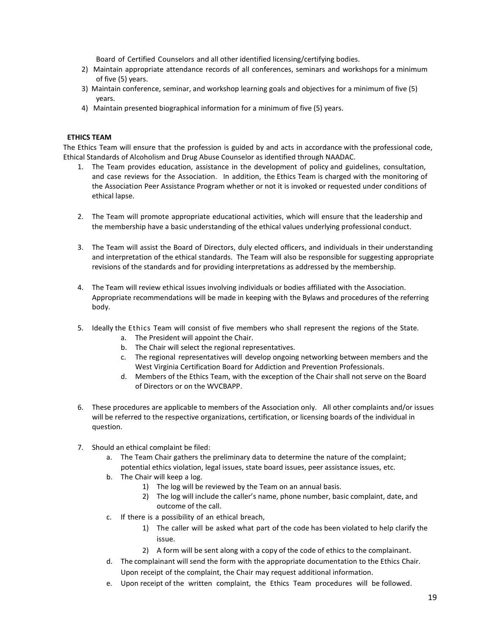Board of Certified Counselors and all other identified licensing/certifying bodies.

- 2) Maintain appropriate attendance records of all conferences, seminars and workshops for a minimum of five (5) years.
- 3) Maintain conference, seminar, and workshop learning goals and objectives for a minimum of five (5) years.
- 4) Maintain presented biographical information for a minimum of five (5) years.

## **ETHICS TEAM**

The Ethics Team will ensure that the profession is guided by and acts in accordance with the professional code, Ethical Standards of Alcoholism and Drug Abuse Counselor as identified through NAADAC.

- 1. The Team provides education, assistance in the development of policy and guidelines, consultation, and case reviews for the Association. In addition, the Ethics Team is charged with the monitoring of the Association Peer Assistance Program whether or not it is invoked or requested under conditions of ethical lapse.
- 2. The Team will promote appropriate educational activities, which will ensure that the leadership and the membership have a basic understanding of the ethical values underlying professional conduct.
- 3. The Team will assist the Board of Directors, duly elected officers, and individuals in their understanding and interpretation of the ethical standards. The Team will also be responsible for suggesting appropriate revisions of the standards and for providing interpretations as addressed by the membership.
- 4. The Team will review ethical issues involving individuals or bodies affiliated with the Association. Appropriate recommendations will be made in keeping with the Bylaws and procedures of the referring body.
- 5. Ideally the Ethics Team will consist of five members who shall represent the regions of the State.
	- a. The President will appoint the Chair.
	- b. The Chair will select the regional representatives.
	- c. The regional representatives will develop ongoing networking between members and the West Virginia Certification Board for Addiction and Prevention Professionals.
	- d. Members of the Ethics Team, with the exception of the Chair shall not serve on the Board of Directors or on the WVCBAPP.
- 6. These procedures are applicable to members of the Association only. All other complaints and/or issues will be referred to the respective organizations, certification, or licensing boards of the individual in question.
- 7. Should an ethical complaint be filed:
	- a. The Team Chair gathers the preliminary data to determine the nature of the complaint; potential ethics violation, legal issues, state board issues, peer assistance issues, etc.
	- b. The Chair will keep a log.
		- 1) The log will be reviewed by the Team on an annual basis.
		- 2) The log will include the caller's name, phone number, basic complaint, date, and outcome of the call.
	- c. If there is a possibility of an ethical breach,
		- 1) The caller will be asked what part of the code has been violated to help clarify the issue.
		- 2) A form will be sent along with a copy of the code of ethics to the complainant.
	- d. The complainant will send the form with the appropriate documentation to the Ethics Chair. Upon receipt of the complaint, the Chair may request additional information.
	- e. Upon receipt of the written complaint, the Ethics Team procedures will be followed.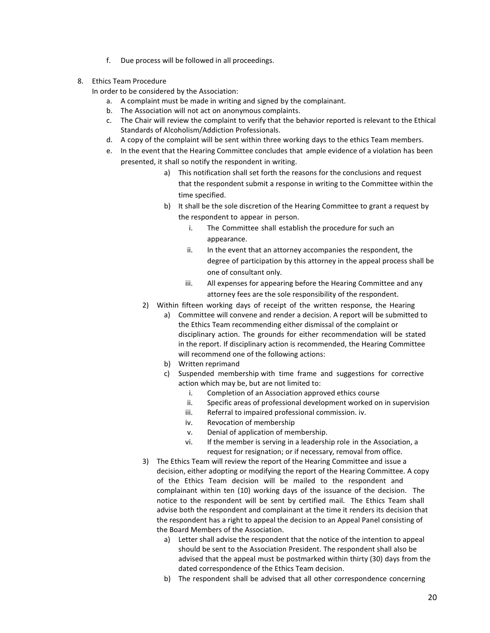- f. Due process will be followed in all proceedings.
- 8. Ethics Team Procedure
	- In order to be considered by the Association:
		- a. A complaint must be made in writing and signed by the complainant.
		- b. The Association will not act on anonymous complaints.
		- c. The Chair will review the complaint to verify that the behavior reported is relevant to the Ethical Standards of Alcoholism/Addiction Professionals.
		- d. A copy of the complaint will be sent within three working days to the ethics Team members.
		- e. In the event that the Hearing Committee concludes that ample evidence of a violation has been presented, it shall so notify the respondent in writing.
			- a) This notification shall set forth the reasons for the conclusions and request that the respondent submit a response in writing to the Committee within the time specified.
			- b) It shall be the sole discretion of the Hearing Committee to grant a request by the respondent to appear in person.
				- i. The Committee shall establish the procedure for such an appearance.
				- ii. In the event that an attorney accompanies the respondent, the degree of participation by this attorney in the appeal process shall be one of consultant only.
				- iii. All expenses for appearing before the Hearing Committee and any attorney fees are the sole responsibility of the respondent.
			- 2) Within fifteen working days of receipt of the written response, the Hearing
				- a) Committee will convene and render a decision. A report will be submitted to the Ethics Team recommending either dismissal of the complaint or disciplinary action. The grounds for either recommendation will be stated in the report. If disciplinary action is recommended, the Hearing Committee will recommend one of the following actions:
				- b) Written reprimand
				- c) Suspended membership with time frame and suggestions for corrective action which may be, but are not limited to:
					- i. Completion of an Association approved ethics course
					- ii. Specific areas of professional development worked on in supervision
					- iii. Referral to impaired professional commission. iv.
					- iv. Revocation of membership
					- v. Denial of application of membership.
					- vi. If the member is serving in a leadership role in the Association, a request for resignation; or if necessary, removal from office.
			- 3) The Ethics Team will review the report of the Hearing Committee and issue a decision, either adopting or modifying the report of the Hearing Committee. A copy of the Ethics Team decision will be mailed to the respondent and complainant within ten (10) working days of the issuance of the decision. The notice to the respondent will be sent by certified mail. The Ethics Team shall advise both the respondent and complainant at the time it renders its decision that the respondent has a right to appeal the decision to an Appeal Panel consisting of the Board Members of the Association.
				- a) Letter shall advise the respondent that the notice of the intention to appeal should be sent to the Association President. The respondent shall also be advised that the appeal must be postmarked within thirty (30) days from the dated correspondence of the Ethics Team decision.
				- b) The respondent shall be advised that all other correspondence concerning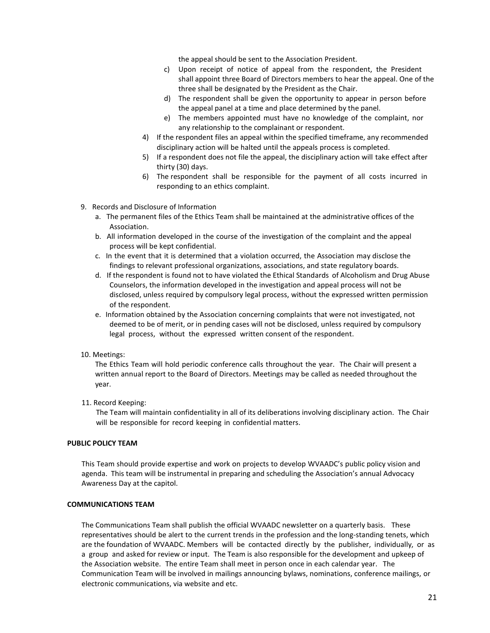the appeal should be sent to the Association President.

- c) Upon receipt of notice of appeal from the respondent, the President shall appoint three Board of Directors members to hear the appeal. One of the three shall be designated by the President as the Chair.
- d) The respondent shall be given the opportunity to appear in person before the appeal panel at a time and place determined by the panel.
- e) The members appointed must have no knowledge of the complaint, nor any relationship to the complainant or respondent.
- 4) If the respondent files an appeal within the specified timeframe, any recommended disciplinary action will be halted until the appeals process is completed.
- 5) If a respondent does not file the appeal, the disciplinary action will take effect after thirty (30) days.
- 6) The respondent shall be responsible for the payment of all costs incurred in responding to an ethics complaint.
- 9. Records and Disclosure of Information
	- a. The permanent files of the Ethics Team shall be maintained at the administrative offices of the Association.
	- b. All information developed in the course of the investigation of the complaint and the appeal process will be kept confidential.
	- c. In the event that it is determined that a violation occurred, the Association may disclose the findings to relevant professional organizations, associations, and state regulatory boards.
	- d. If the respondent is found not to have violated the Ethical Standards of Alcoholism and Drug Abuse Counselors, the information developed in the investigation and appeal process will not be disclosed, unless required by compulsory legal process, without the expressed written permission of the respondent.
	- e. Information obtained by the Association concerning complaints that were not investigated, not deemed to be of merit, or in pending cases will not be disclosed, unless required by compulsory legal process, without the expressed written consent of the respondent.

## 10. Meetings:

The Ethics Team will hold periodic conference calls throughout the year. The Chair will present a written annual report to the Board of Directors. Meetings may be called as needed throughout the year.

11. Record Keeping:

The Team will maintain confidentiality in all of its deliberations involving disciplinary action. The Chair will be responsible for record keeping in confidential matters.

## **PUBLIC POLICY TEAM**

This Team should provide expertise and work on projects to develop WVAADC's public policy vision and agenda. This team will be instrumental in preparing and scheduling the Association's annual Advocacy Awareness Day at the capitol.

#### **COMMUNICATIONS TEAM**

The Communications Team shall publish the official WVAADC newsletter on a quarterly basis. These representatives should be alert to the current trends in the profession and the long-standing tenets, which are the foundation of WVAADC. Members will be contacted directly by the publisher, individually, or as a group and asked for review or input. The Team is also responsible for the development and upkeep of the Association website. The entire Team shall meet in person once in each calendar year. The Communication Team will be involved in mailings announcing bylaws, nominations, conference mailings, or electronic communications, via website and etc.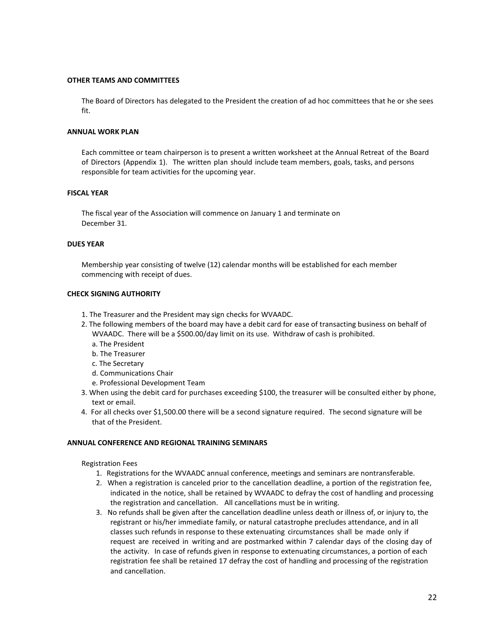## **OTHER TEAMS AND COMMITTEES**

The Board of Directors has delegated to the President the creation of ad hoc committees that he or she sees fit.

## **ANNUAL WORK PLAN**

Each committee or team chairperson is to present a written worksheet at the Annual Retreat of the Board of Directors (Appendix 1). The written plan should include team members, goals, tasks, and persons responsible for team activities for the upcoming year.

## **FISCAL YEAR**

The fiscal year of the Association will commence on January 1 and terminate on December 31.

## **DUES YEAR**

Membership year consisting of twelve (12) calendar months will be established for each member commencing with receipt of dues.

## **CHECK SIGNING AUTHORITY**

- 1. The Treasurer and the President may sign checks for WVAADC.
- 2. The following members of the board may have a debit card for ease of transacting business on behalf of WVAADC. There will be a \$500.00/day limit on its use. Withdraw of cash is prohibited.
	- a. The President
	- b. The Treasurer
	- c. The Secretary
	- d. Communications Chair
	- e. Professional Development Team
- 3. When using the debit card for purchases exceeding \$100, the treasurer will be consulted either by phone, text or email.
- 4. For all checks over \$1,500.00 there will be a second signature required. The second signature will be that of the President.

## **ANNUAL CONFERENCE AND REGIONAL TRAINING SEMINARS**

## Registration Fees

- 1. Registrations for the WVAADC annual conference, meetings and seminars are nontransferable.
- 2. When a registration is canceled prior to the cancellation deadline, a portion of the registration fee, indicated in the notice, shall be retained by WVAADC to defray the cost of handling and processing the registration and cancellation. All cancellations must be in writing.
- 3. No refunds shall be given after the cancellation deadline unless death or illness of, or injury to, the registrant or his/her immediate family, or natural catastrophe precludes attendance, and in all classes such refunds in response to these extenuating circumstances shall be made only if request are received in writing and are postmarked within 7 calendar days of the closing day of the activity. In case of refunds given in response to extenuating circumstances, a portion of each registration fee shall be retained 17 defray the cost of handling and processing of the registration and cancellation.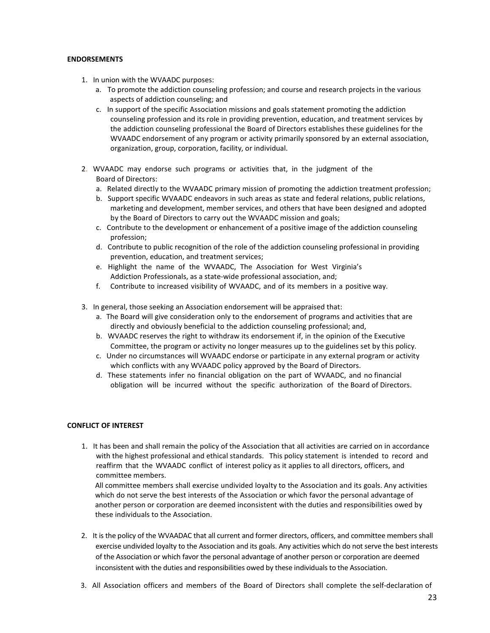## **ENDORSEMENTS**

- 1. In union with the WVAADC purposes:
	- a. To promote the addiction counseling profession; and course and research projects in the various aspects of addiction counseling; and
	- c. In support of the specific Association missions and goals statement promoting the addiction counseling profession and its role in providing prevention, education, and treatment services by the addiction counseling professional the Board of Directors establishes these guidelines for the WVAADC endorsement of any program or activity primarily sponsored by an external association, organization, group, corporation, facility, or individual.
- 2. WVAADC may endorse such programs or activities that, in the judgment of the Board of Directors:
	- a. Related directly to the WVAADC primary mission of promoting the addiction treatment profession;
	- b. Support specific WVAADC endeavors in such areas as state and federal relations, public relations, marketing and development, member services, and others that have been designed and adopted by the Board of Directors to carry out the WVAADC mission and goals;
	- c. Contribute to the development or enhancement of a positive image of the addiction counseling profession;
	- d. Contribute to public recognition of the role of the addiction counseling professional in providing prevention, education, and treatment services;
	- e. Highlight the name of the WVAADC, The Association for West Virginia's Addiction Professionals, as a state-wide professional association, and;
	- f. Contribute to increased visibility of WVAADC, and of its members in a positive way.
- 3. In general, those seeking an Association endorsement will be appraised that:
	- a. The Board will give consideration only to the endorsement of programs and activities that are directly and obviously beneficial to the addiction counseling professional; and,
	- b. WVAADC reserves the right to withdraw its endorsement if, in the opinion of the Executive Committee, the program or activity no longer measures up to the guidelines set by this policy.
	- c. Under no circumstances will WVAADC endorse or participate in any external program or activity which conflicts with any WVAADC policy approved by the Board of Directors.
	- d. These statements infer no financial obligation on the part of WVAADC, and no financial obligation will be incurred without the specific authorization of the Board of Directors.

## **CONFLICT OF INTEREST**

1. It has been and shall remain the policy of the Association that all activities are carried on in accordance with the highest professional and ethical standards. This policy statement is intended to record and reaffirm that the WVAADC conflict of interest policy as it applies to all directors, officers, and committee members.

All committee members shall exercise undivided loyalty to the Association and its goals. Any activities which do not serve the best interests of the Association or which favor the personal advantage of another person or corporation are deemed inconsistent with the duties and responsibilities owed by these individuals to the Association.

- 2. It is the policy of the WVAADAC that all current and former directors, officers, and committee members shall exercise undivided loyalty to the Association and its goals. Any activities which do not serve the best interests of the Association or which favor the personal advantage of another person or corporation are deemed inconsistent with the duties and responsibilities owed by these individuals to the Association.
- 3. All Association officers and members of the Board of Directors shall complete the self-declaration of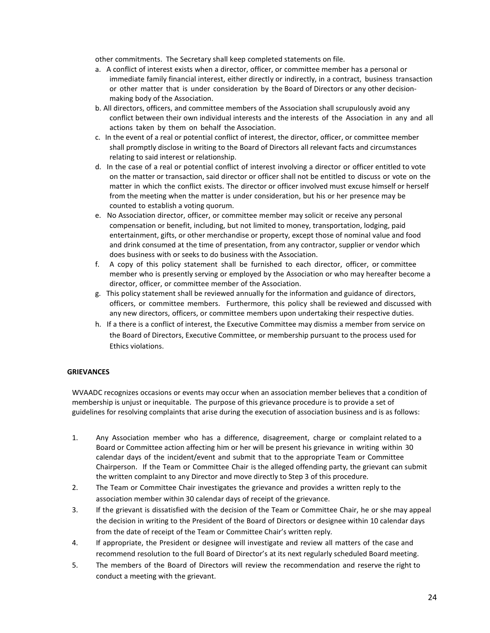other commitments. The Secretary shall keep completed statements on file.

- a. A conflict of interest exists when a director, officer, or committee member has a personal or immediate family financial interest, either directly or indirectly, in a contract, business transaction or other matter that is under consideration by the Board of Directors or any other decisionmaking body of the Association.
- b. All directors, officers, and committee members of the Association shall scrupulously avoid any conflict between their own individual interests and the interests of the Association in any and all actions taken by them on behalf the Association.
- c. In the event of a real or potential conflict of interest, the director, officer, or committee member shall promptly disclose in writing to the Board of Directors all relevant facts and circumstances relating to said interest or relationship.
- d. In the case of a real or potential conflict of interest involving a director or officer entitled to vote on the matter or transaction, said director or officer shall not be entitled to discuss or vote on the matter in which the conflict exists. The director or officer involved must excuse himself or herself from the meeting when the matter is under consideration, but his or her presence may be counted to establish a voting quorum.
- e. No Association director, officer, or committee member may solicit or receive any personal compensation or benefit, including, but not limited to money, transportation, lodging, paid entertainment, gifts, or other merchandise or property, except those of nominal value and food and drink consumed at the time of presentation, from any contractor, supplier or vendor which does business with or seeks to do business with the Association.
- f. A copy of this policy statement shall be furnished to each director, officer, or committee member who is presently serving or employed by the Association or who may hereafter become a director, officer, or committee member of the Association.
- g. This policy statement shall be reviewed annually for the information and guidance of directors, officers, or committee members. Furthermore, this policy shall be reviewed and discussed with any new directors, officers, or committee members upon undertaking their respective duties.
- h. If a there is a conflict of interest, the Executive Committee may dismiss a member from service on the Board of Directors, Executive Committee, or membership pursuant to the process used for Ethics violations.

## **GRIEVANCES**

WVAADC recognizes occasions or events may occur when an association member believes that a condition of membership is unjust or inequitable. The purpose of this grievance procedure is to provide a set of guidelines for resolving complaints that arise during the execution of association business and is as follows:

- 1. Any Association member who has a difference, disagreement, charge or complaint related to a Board or Committee action affecting him or her will be present his grievance in writing within 30 calendar days of the incident/event and submit that to the appropriate Team or Committee Chairperson. If the Team or Committee Chair is the alleged offending party, the grievant can submit the written complaint to any Director and move directly to Step 3 of this procedure.
- 2. The Team or Committee Chair investigates the grievance and provides a written reply to the association member within 30 calendar days of receipt of the grievance.
- 3. If the grievant is dissatisfied with the decision of the Team or Committee Chair, he or she may appeal the decision in writing to the President of the Board of Directors or designee within 10 calendar days from the date of receipt of the Team or Committee Chair's written reply.
- 4. If appropriate, the President or designee will investigate and review all matters of the case and recommend resolution to the full Board of Director's at its next regularly scheduled Board meeting.
- 5. The members of the Board of Directors will review the recommendation and reserve the right to conduct a meeting with the grievant.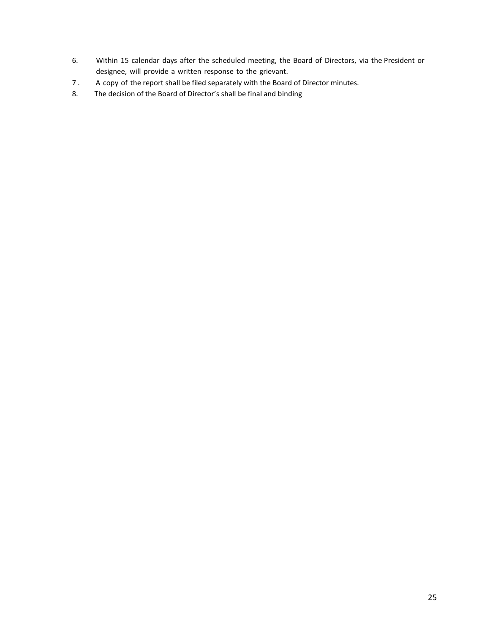- 6. Within 15 calendar days after the scheduled meeting, the Board of Directors, via the President or designee, will provide a written response to the grievant.
- 7. A copy of the report shall be filed separately with the Board of Director minutes.
- 8. The decision of the Board of Director's shall be final and binding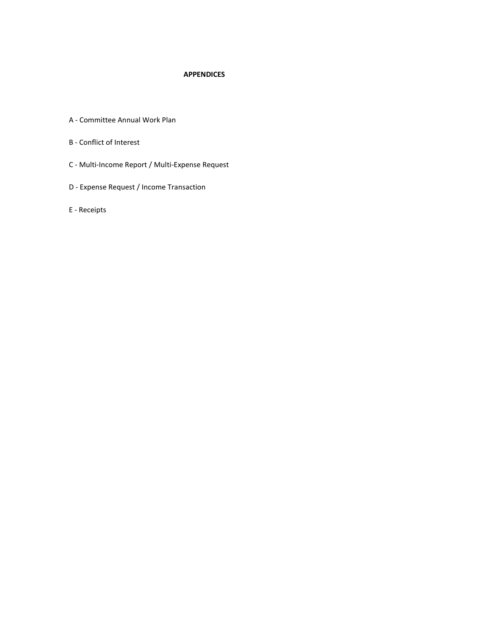## **APPENDICES**

- A Committee Annual Work Plan
- B Conflict of Interest
- C Multi-Income Report / Multi-Expense Request
- D Expense Request / Income Transaction
- E Receipts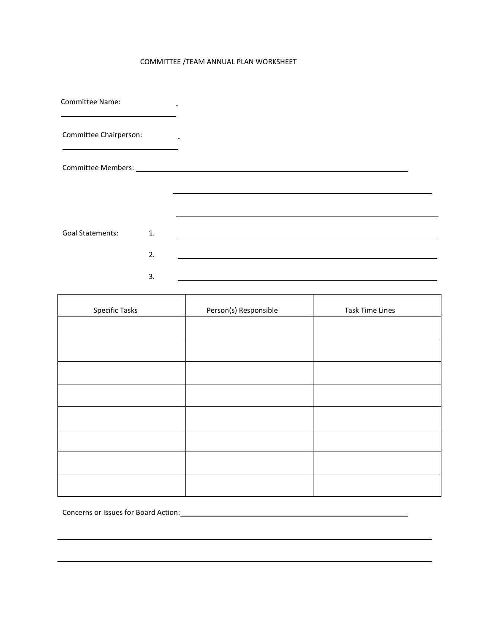## COMMITTEE /TEAM ANNUAL PLAN WORKSHEET

| <b>Committee Name:</b>  |                |  |
|-------------------------|----------------|--|
| Committee Chairperson:  |                |  |
|                         |                |  |
|                         |                |  |
|                         |                |  |
| <b>Goal Statements:</b> | $\mathbf{1}$ . |  |
|                         | 2.             |  |
|                         | 3.             |  |

| Specific Tasks | Person(s) Responsible | <b>Task Time Lines</b> |
|----------------|-----------------------|------------------------|
|                |                       |                        |
|                |                       |                        |
|                |                       |                        |
|                |                       |                        |
|                |                       |                        |
|                |                       |                        |
|                |                       |                        |
|                |                       |                        |

 $\overline{\phantom{a}}$ 

Concerns or Issues for Board Action: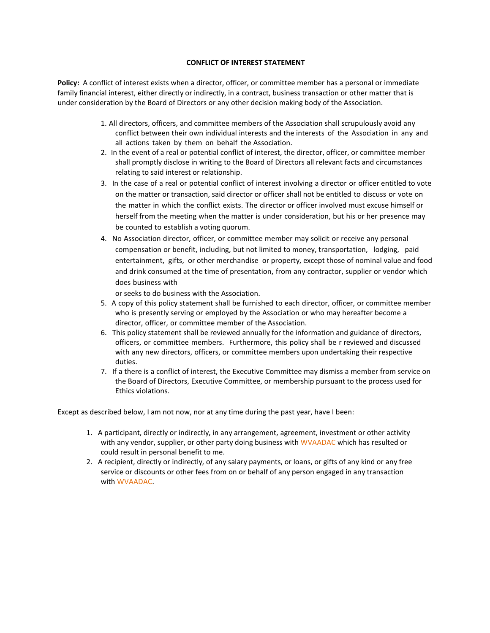## **CONFLICT OF INTEREST STATEMENT**

**Policy:** A conflict of interest exists when a director, officer, or committee member has a personal or immediate family financial interest, either directly or indirectly, in a contract, business transaction or other matter that is under consideration by the Board of Directors or any other decision making body of the Association.

- 1. All directors, officers, and committee members of the Association shall scrupulously avoid any conflict between their own individual interests and the interests of the Association in any and all actions taken by them on behalf the Association.
- 2. In the event of a real or potential conflict of interest, the director, officer, or committee member shall promptly disclose in writing to the Board of Directors all relevant facts and circumstances relating to said interest or relationship.
- 3. In the case of a real or potential conflict of interest involving a director or officer entitled to vote on the matter or transaction, said director or officer shall not be entitled to discuss or vote on the matter in which the conflict exists. The director or officer involved must excuse himself or herself from the meeting when the matter is under consideration, but his or her presence may be counted to establish a voting quorum.
- 4. No Association director, officer, or committee member may solicit or receive any personal compensation or benefit, including, but not limited to money, transportation, lodging, paid entertainment, gifts, or other merchandise or property, except those of nominal value and food and drink consumed at the time of presentation, from any contractor, supplier or vendor which does business with

or seeks to do business with the Association.

- 5. A copy of this policy statement shall be furnished to each director, officer, or committee member who is presently serving or employed by the Association or who may hereafter become a director, officer, or committee member of the Association.
- 6. This policy statement shall be reviewed annually for the information and guidance of directors, officers, or committee members. Furthermore, this policy shall be r reviewed and discussed with any new directors, officers, or committee members upon undertaking their respective duties.
- 7. If a there is a conflict of interest, the Executive Committee may dismiss a member from service on the Board of Directors, Executive Committee, or membership pursuant to the process used for Ethics violations.

Except as described below, I am not now, nor at any time during the past year, have I been:

- 1. A participant, directly or indirectly, in any arrangement, agreement, investment or other activity with any vendor, supplier, or other party doing business with WVAADAC which has resulted or could result in personal benefit to me.
- 2. A recipient, directly or indirectly, of any salary payments, or loans, or gifts of any kind or any free service or discounts or other fees from on or behalf of any person engaged in any transaction with WVAADAC.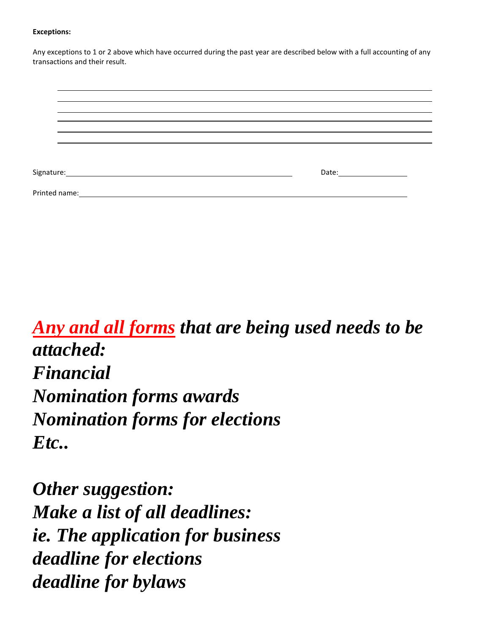## **Exceptions:**

Any exceptions to 1 or 2 above which have occurred during the past year are described below with a full accounting of any transactions and their result.

| Signature:    | Date: <u>____________________</u> |
|---------------|-----------------------------------|
| Printed name: |                                   |

*Any and all forms that are being used needs to be attached: Financial Nomination forms awards Nomination forms for elections Etc..*

*Other suggestion: Make a list of all deadlines: ie. The application for business deadline for elections deadline for bylaws*